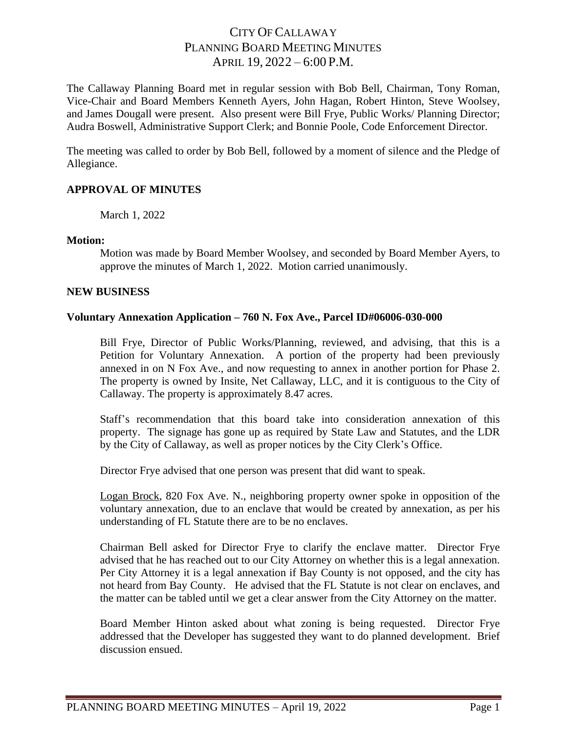# CITY OF CALLAWAY PLANNING BOARD MEETING MINUTES APRIL 19, 2022 – 6:00 P.M.

The Callaway Planning Board met in regular session with Bob Bell, Chairman, Tony Roman, Vice-Chair and Board Members Kenneth Ayers, John Hagan, Robert Hinton, Steve Woolsey, and James Dougall were present. Also present were Bill Frye, Public Works/ Planning Director; Audra Boswell, Administrative Support Clerk; and Bonnie Poole, Code Enforcement Director.

The meeting was called to order by Bob Bell, followed by a moment of silence and the Pledge of Allegiance.

## **APPROVAL OF MINUTES**

March 1, 2022

#### **Motion:**

Motion was made by Board Member Woolsey, and seconded by Board Member Ayers, to approve the minutes of March 1, 2022. Motion carried unanimously.

## **NEW BUSINESS**

## **Voluntary Annexation Application – 760 N. Fox Ave., Parcel ID#06006-030-000**

Bill Frye, Director of Public Works/Planning, reviewed, and advising, that this is a Petition for Voluntary Annexation. A portion of the property had been previously annexed in on N Fox Ave., and now requesting to annex in another portion for Phase 2. The property is owned by Insite, Net Callaway, LLC, and it is contiguous to the City of Callaway. The property is approximately 8.47 acres.

Staff's recommendation that this board take into consideration annexation of this property. The signage has gone up as required by State Law and Statutes, and the LDR by the City of Callaway, as well as proper notices by the City Clerk's Office.

Director Frye advised that one person was present that did want to speak.

Logan Brock, 820 Fox Ave. N., neighboring property owner spoke in opposition of the voluntary annexation, due to an enclave that would be created by annexation, as per his understanding of FL Statute there are to be no enclaves.

Chairman Bell asked for Director Frye to clarify the enclave matter. Director Frye advised that he has reached out to our City Attorney on whether this is a legal annexation. Per City Attorney it is a legal annexation if Bay County is not opposed, and the city has not heard from Bay County. He advised that the FL Statute is not clear on enclaves, and the matter can be tabled until we get a clear answer from the City Attorney on the matter.

Board Member Hinton asked about what zoning is being requested. Director Frye addressed that the Developer has suggested they want to do planned development. Brief discussion ensued.